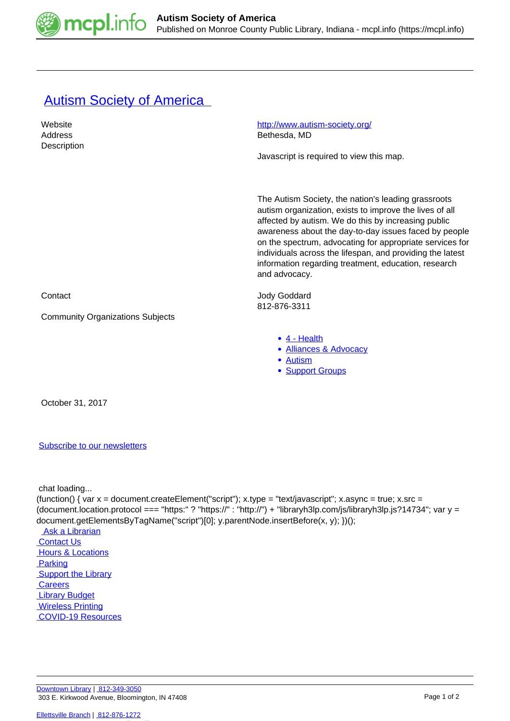

## **Autism Society of America**

| Website<br>Address<br>Description       | http://www.autism-society.org/<br>Bethesda, MD                                                                                                                                                                                                                                                                                                                                                                                   |
|-----------------------------------------|----------------------------------------------------------------------------------------------------------------------------------------------------------------------------------------------------------------------------------------------------------------------------------------------------------------------------------------------------------------------------------------------------------------------------------|
|                                         | Javascript is required to view this map.                                                                                                                                                                                                                                                                                                                                                                                         |
|                                         | The Autism Society, the nation's leading grassroots<br>autism organization, exists to improve the lives of all<br>affected by autism. We do this by increasing public<br>awareness about the day-to-day issues faced by people<br>on the spectrum, advocating for appropriate services for<br>individuals across the lifespan, and providing the latest<br>information regarding treatment, education, research<br>and advocacy. |
| Contact                                 | <b>Jody Goddard</b><br>812-876-3311                                                                                                                                                                                                                                                                                                                                                                                              |
| <b>Community Organizations Subjects</b> |                                                                                                                                                                                                                                                                                                                                                                                                                                  |
|                                         | $\bullet$ 4 - Health<br>• Alliances & Advocacy<br>• Autism<br>• Support Groups                                                                                                                                                                                                                                                                                                                                                   |

October 31, 2017

## [Subscribe to our newsletters](https://mcpl.info/geninfo/subscribe-think-library-newsletter)

chat loading...

(function() { var  $x =$  document.createElement("script");  $x.$ type = "text/javascript";  $x.$ async = true;  $x.$ src = (document.location.protocol === "https:" ? "https://" : "http://") + "libraryh3lp.com/js/libraryh3lp.js?14734"; var y = document.getElementsByTagName("script")[0]; y.parentNode.insertBefore(x, y); })();

 [Ask a Librarian](https://mcpl.info/askus)  [Contact Us](https://mcpl.info/geninfo/contact-us) Hours & Locations **Parking Support the Library Careers**  [Library Budget](https://budgetnotices.in.gov/unit_lookup.aspx?ct=53000) **Wireless Printing**  [COVID-19 Resources](https://mcpl.info/geninfo/local-covid-resources)